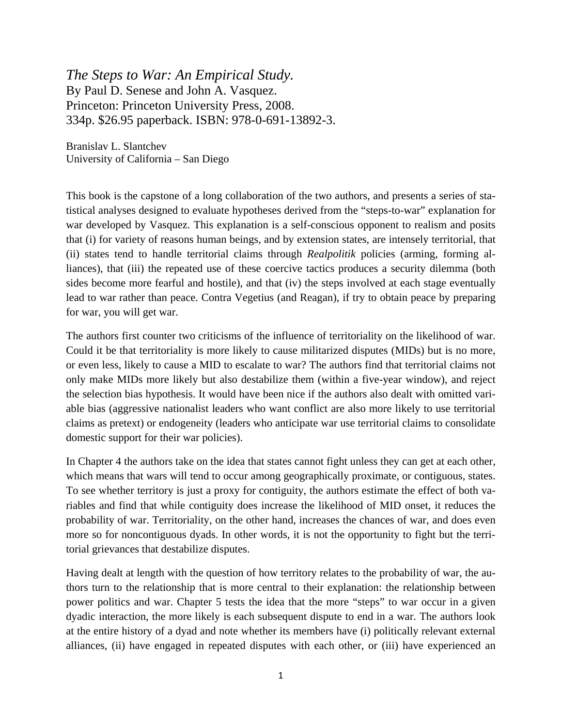*The Steps to War: An Empirical Study.* By Paul D. Senese and John A. Vasquez. Princeton: Princeton University Press, 2008. 334p. \$26.95 paperback. ISBN: 978-0-691-13892-3.

Branislav L. Slantchev University of California – San Diego

This book is the capstone of a long collaboration of the two authors, and presents a series of statistical analyses designed to evaluate hypotheses derived from the "steps-to-war" explanation for war developed by Vasquez. This explanation is a self-conscious opponent to realism and posits that (i) for variety of reasons human beings, and by extension states, are intensely territorial, that (ii) states tend to handle territorial claims through *Realpolitik* policies (arming, forming alliances), that (iii) the repeated use of these coercive tactics produces a security dilemma (both sides become more fearful and hostile), and that (iv) the steps involved at each stage eventually lead to war rather than peace. Contra Vegetius (and Reagan), if try to obtain peace by preparing for war, you will get war.

The authors first counter two criticisms of the influence of territoriality on the likelihood of war. Could it be that territoriality is more likely to cause militarized disputes (MIDs) but is no more, or even less, likely to cause a MID to escalate to war? The authors find that territorial claims not only make MIDs more likely but also destabilize them (within a five-year window), and reject the selection bias hypothesis. It would have been nice if the authors also dealt with omitted variable bias (aggressive nationalist leaders who want conflict are also more likely to use territorial claims as pretext) or endogeneity (leaders who anticipate war use territorial claims to consolidate domestic support for their war policies).

In Chapter 4 the authors take on the idea that states cannot fight unless they can get at each other, which means that wars will tend to occur among geographically proximate, or contiguous, states. To see whether territory is just a proxy for contiguity, the authors estimate the effect of both variables and find that while contiguity does increase the likelihood of MID onset, it reduces the probability of war. Territoriality, on the other hand, increases the chances of war, and does even more so for noncontiguous dyads. In other words, it is not the opportunity to fight but the territorial grievances that destabilize disputes.

Having dealt at length with the question of how territory relates to the probability of war, the authors turn to the relationship that is more central to their explanation: the relationship between power politics and war. Chapter 5 tests the idea that the more "steps" to war occur in a given dyadic interaction, the more likely is each subsequent dispute to end in a war. The authors look at the entire history of a dyad and note whether its members have (i) politically relevant external alliances, (ii) have engaged in repeated disputes with each other, or (iii) have experienced an